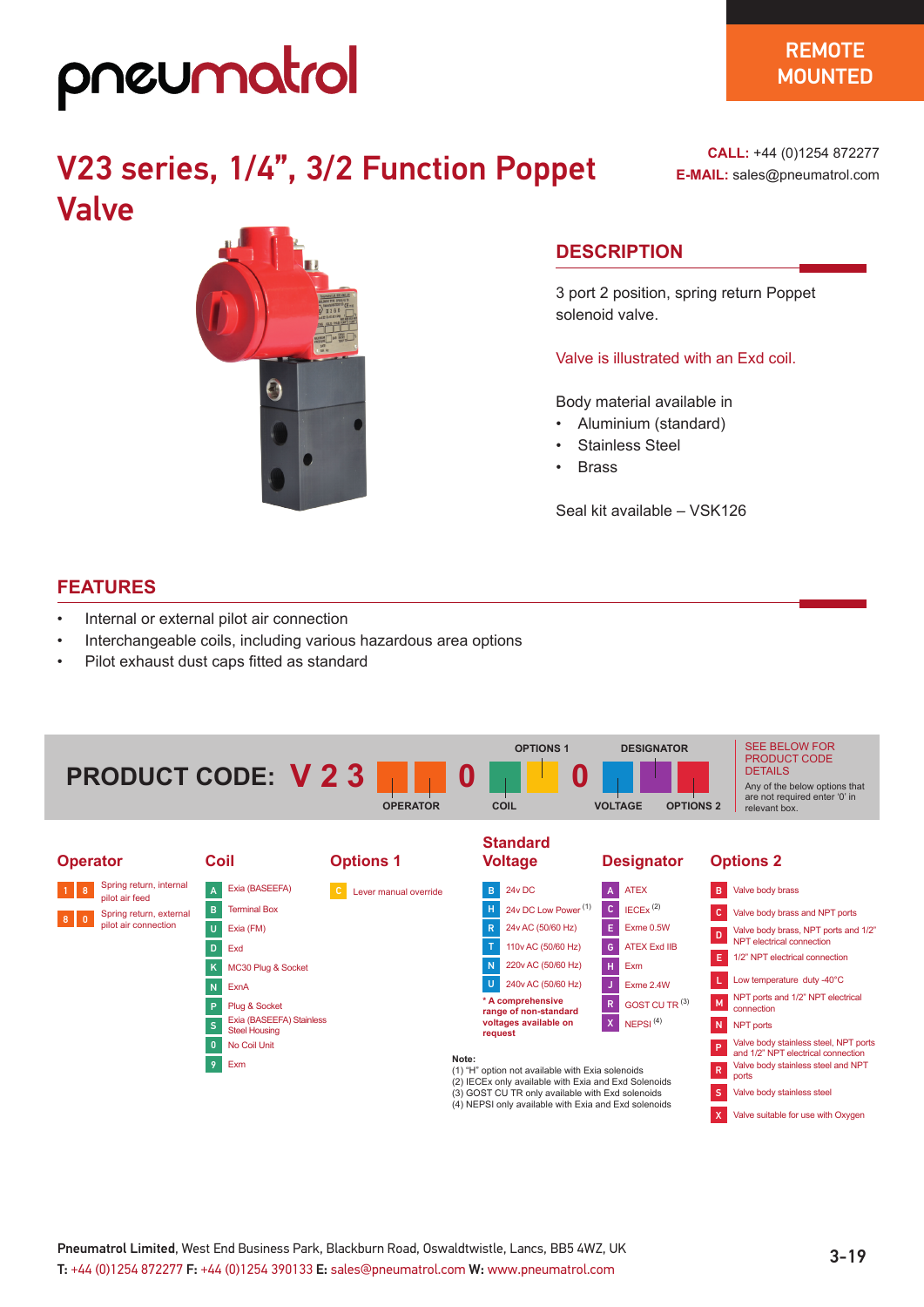## pneumatrol

### V23 series, 1/4", 3/2 Function Poppet Valve

 $\boldsymbol{\Theta}$ 

#### **CALL:** +44 (0)1254 872277 **E-MAIL:** sales@pneumatrol.com

### **DESCRIPTION**

3 port 2 position, spring return Poppet solenoid valve.

Valve is illustrated with an Exd coil.

Body material available in

- Aluminium (standard)
- Stainless Steel
- **Brass**

Seal kit available – VSK126

### **FEATURES**

- Internal or external pilot air connection
- Interchangeable coils, including various hazardous area options
- Pilot exhaust dust caps fitted as standard